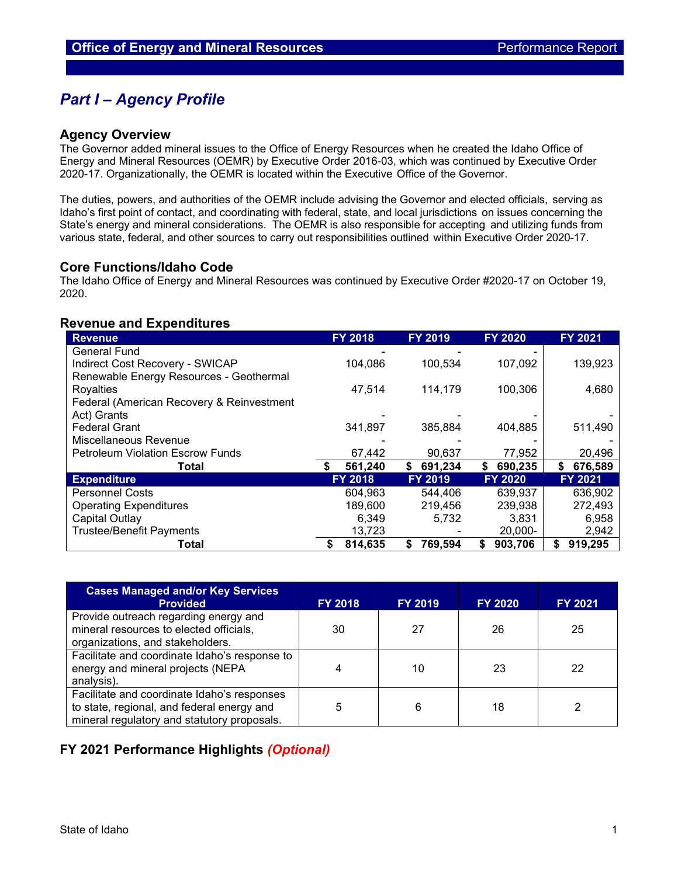# *Part I – Agency Profile*

### **Agency Overview**

The Governor added mineral issues to the Office of Energy Resources when he created the Idaho Office of Energy and Mineral Resources (OEMR) by Executive Order 2016-03, which was continued by Executive Order 2020-17. Organizationally, the OEMR is located within the Executive Office of the Governor.

The duties, powers, and authorities of the OEMR include advising the Governor and elected officials, serving as Idaho's first point of contact, and coordinating with federal, state, and local jurisdictions on issues concerning the State's energy and mineral considerations. The OEMR is also responsible for accepting and utilizing funds from various state, federal, and other sources to carry out responsibilities outlined within Executive Order 2020-17.

### **Core Functions/Idaho Code**

The Idaho Office of Energy and Mineral Resources was continued by Executive Order #2020-17 on October 19, 2020.

### **Revenue and Expenditures**

| <b>Revenue</b>                            | <b>FY 2018</b> | <b>FY 2019</b> | <b>FY 2020</b> | FY 2021       |
|-------------------------------------------|----------------|----------------|----------------|---------------|
| <b>General Fund</b>                       |                |                |                |               |
| Indirect Cost Recovery - SWICAP           | 104,086        | 100,534        | 107,092        | 139,923       |
| Renewable Energy Resources - Geothermal   |                |                |                |               |
| Royalties                                 | 47,514         | 114,179        | 100,306        | 4,680         |
| Federal (American Recovery & Reinvestment |                |                |                |               |
| Act) Grants                               |                |                |                |               |
| <b>Federal Grant</b>                      | 341,897        | 385,884        | 404,885        | 511,490       |
| Miscellaneous Revenue                     |                |                |                |               |
| <b>Petroleum Violation Escrow Funds</b>   | 67,442         | 90,637         | 77,952         | 20,496        |
| Total                                     | 561,240        | \$<br>691,234  | 690,235<br>S.  | 676,589<br>S. |
| <b>Expenditure</b>                        | <b>FY 2018</b> | <b>FY 2019</b> | <b>FY 2020</b> | FY 2021       |
| <b>Personnel Costs</b>                    | 604.963        | 544,406        | 639,937        | 636,902       |
| <b>Operating Expenditures</b>             | 189,600        | 219,456        | 239,938        | 272,493       |
| Capital Outlay                            | 6,349          | 5,732          | 3,831          | 6,958         |
| <b>Trustee/Benefit Payments</b>           | 13,723         |                | $20,000 -$     | 2,942         |
| Total                                     | 814.635        | 769.594<br>S   | 903,706<br>S   | 919,295<br>\$ |

| <b>Cases Managed and/or Key Services</b><br><b>Provided</b>                                                                              | <b>FY 2018</b> | <b>FY 2019</b> | <b>FY 2020</b> | <b>FY 2021</b> |
|------------------------------------------------------------------------------------------------------------------------------------------|----------------|----------------|----------------|----------------|
| Provide outreach regarding energy and<br>mineral resources to elected officials,<br>organizations, and stakeholders.                     | 30             | 27             | 26             | 25             |
| Facilitate and coordinate Idaho's response to<br>energy and mineral projects (NEPA<br>analysis).                                         |                | 10             | 23             | 22             |
| Facilitate and coordinate Idaho's responses<br>to state, regional, and federal energy and<br>mineral regulatory and statutory proposals. | 5              | 6              | 18             |                |

## **FY 2021 Performance Highlights** *(Optional)*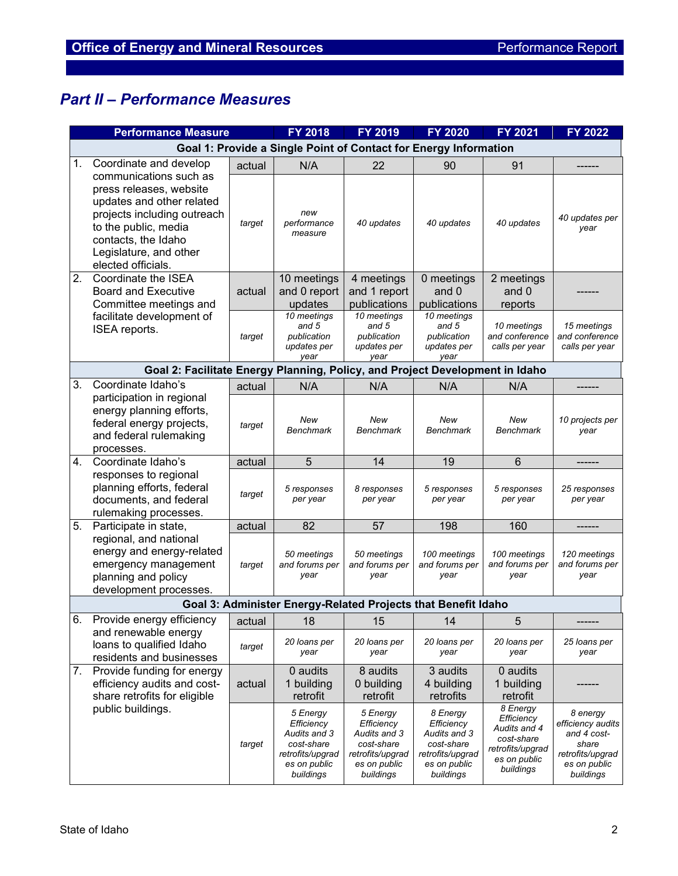# *Part II – Performance Measures*

|    | <b>Performance Measure</b>                                                                                                                                                                                   |        | <b>FY 2018</b>                                                                                        | <b>FY 2019</b>                                                                                        | <b>FY 2020</b>                                                                                        | <b>FY 2021</b>                                                                                        | <b>FY 2022</b>                                                                                         |
|----|--------------------------------------------------------------------------------------------------------------------------------------------------------------------------------------------------------------|--------|-------------------------------------------------------------------------------------------------------|-------------------------------------------------------------------------------------------------------|-------------------------------------------------------------------------------------------------------|-------------------------------------------------------------------------------------------------------|--------------------------------------------------------------------------------------------------------|
|    | Goal 1: Provide a Single Point of Contact for Energy Information                                                                                                                                             |        |                                                                                                       |                                                                                                       |                                                                                                       |                                                                                                       |                                                                                                        |
| 1. | Coordinate and develop                                                                                                                                                                                       | actual | N/A                                                                                                   | 22                                                                                                    | 90                                                                                                    | 91                                                                                                    |                                                                                                        |
|    | communications such as<br>press releases, website<br>updates and other related<br>projects including outreach<br>to the public, media<br>contacts, the Idaho<br>Legislature, and other<br>elected officials. | target | new<br>performance<br>measure                                                                         | 40 updates                                                                                            | 40 updates                                                                                            | 40 updates                                                                                            | 40 updates per<br>year                                                                                 |
| 2. | Coordinate the ISEA                                                                                                                                                                                          |        | 10 meetings                                                                                           | 4 meetings                                                                                            | 0 meetings                                                                                            | 2 meetings                                                                                            |                                                                                                        |
|    | <b>Board and Executive</b>                                                                                                                                                                                   | actual | and 0 report                                                                                          | and 1 report                                                                                          | and 0                                                                                                 | and 0                                                                                                 |                                                                                                        |
|    | Committee meetings and                                                                                                                                                                                       |        | updates                                                                                               | publications                                                                                          | publications                                                                                          | reports                                                                                               |                                                                                                        |
|    | facilitate development of<br>ISEA reports.                                                                                                                                                                   | target | 10 meetings<br>and 5<br>publication<br>updates per<br>vear                                            | 10 meetings<br>and 5<br>publication<br>updates per<br>year                                            | 10 meetings<br>and 5<br>publication<br>updates per<br>vear                                            | 10 meetings<br>and conference<br>calls per year                                                       | 15 meetings<br>and conference<br>calls per year                                                        |
|    | Goal 2: Facilitate Energy Planning, Policy, and Project Development in Idaho                                                                                                                                 |        |                                                                                                       |                                                                                                       |                                                                                                       |                                                                                                       |                                                                                                        |
| 3. | Coordinate Idaho's                                                                                                                                                                                           | actual | N/A                                                                                                   | N/A                                                                                                   | N/A                                                                                                   | N/A                                                                                                   |                                                                                                        |
|    | participation in regional<br>energy planning efforts,<br>federal energy projects,<br>and federal rulemaking<br>processes.                                                                                    | target | New<br>Benchmark                                                                                      | New<br>Benchmark                                                                                      | New<br><b>Benchmark</b>                                                                               | New<br>Benchmark                                                                                      | 10 projects per<br>year                                                                                |
| 4. | Coordinate Idaho's                                                                                                                                                                                           | actual | 5                                                                                                     | 14                                                                                                    | 19                                                                                                    | 6                                                                                                     |                                                                                                        |
|    | responses to regional<br>planning efforts, federal<br>documents, and federal<br>rulemaking processes.                                                                                                        | target | 5 responses<br>per year                                                                               | 8 responses<br>per year                                                                               | 5 responses<br>per year                                                                               | 5 responses<br>per year                                                                               | 25 responses<br>per year                                                                               |
| 5. | Participate in state,                                                                                                                                                                                        | actual | 82                                                                                                    | 57                                                                                                    | 198                                                                                                   | 160                                                                                                   |                                                                                                        |
|    | regional, and national<br>energy and energy-related<br>emergency management<br>planning and policy<br>development processes.                                                                                 | target | 50 meetings<br>and forums per<br>year                                                                 | 50 meetings<br>and forums per<br>year                                                                 | 100 meetings<br>and forums per<br>year                                                                | 100 meetings<br>and forums per<br>year                                                                | 120 meetings<br>and forums per<br>year                                                                 |
|    |                                                                                                                                                                                                              |        | Goal 3: Administer Energy-Related Projects that Benefit Idaho                                         |                                                                                                       |                                                                                                       |                                                                                                       |                                                                                                        |
| 6. | Provide energy efficiency                                                                                                                                                                                    |        | $\vert$ actual $\vert$ 18 $\vert$ 15                                                                  |                                                                                                       | 14                                                                                                    | 5                                                                                                     |                                                                                                        |
|    | and renewable energy<br>loans to qualified Idaho<br>residents and businesses                                                                                                                                 | target | 20 loans per<br>year                                                                                  | 20 loans per<br>year                                                                                  | 20 Ioans per<br>year                                                                                  | 20 Ioans per<br>year                                                                                  | 25 Ioans per<br>year                                                                                   |
| 7. | Provide funding for energy<br>efficiency audits and cost-<br>share retrofits for eligible                                                                                                                    | actual | 0 audits<br>1 building<br>retrofit                                                                    | 8 audits<br>0 building<br>retrofit                                                                    | 3 audits<br>4 building<br>retrofits                                                                   | 0 audits<br>1 building<br>retrofit                                                                    |                                                                                                        |
|    | public buildings.                                                                                                                                                                                            | target | 5 Energy<br>Efficiency<br>Audits and 3<br>cost-share<br>retrofits/upgrad<br>es on public<br>buildings | 5 Energy<br>Efficiency<br>Audits and 3<br>cost-share<br>retrofits/upgrad<br>es on public<br>buildings | 8 Energy<br>Efficiency<br>Audits and 3<br>cost-share<br>retrofits/upgrad<br>es on public<br>buildings | 8 Energy<br>Efficiency<br>Audits and 4<br>cost-share<br>retrofits/upgrad<br>es on public<br>buildings | 8 energy<br>efficiency audits<br>and 4 cost-<br>share<br>retrofits/upgrad<br>es on public<br>buildings |